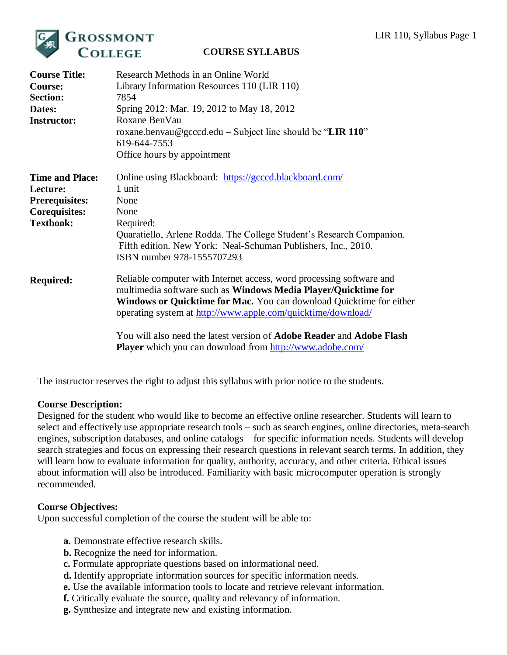

| <b>Course Title:</b><br><b>Course:</b><br><b>Section:</b><br>Dates:<br><b>Instructor:</b>               | Research Methods in an Online World<br>Library Information Resources 110 (LIR 110)<br>7854<br>Spring 2012: Mar. 19, 2012 to May 18, 2012<br>Roxane BenVau<br>roxane.benvau@gcccd.edu – Subject line should be "LIR 110"<br>619-644-7553<br>Office hours by appointment                                                                                                                                                                  |
|---------------------------------------------------------------------------------------------------------|-----------------------------------------------------------------------------------------------------------------------------------------------------------------------------------------------------------------------------------------------------------------------------------------------------------------------------------------------------------------------------------------------------------------------------------------|
| <b>Time and Place:</b><br>Lecture:<br><b>Prerequisites:</b><br><b>Corequisites:</b><br><b>Textbook:</b> | Online using Blackboard: https://gcccd.blackboard.com/<br>1 unit<br>None<br>None<br>Required:<br>Quaratiello, Arlene Rodda. The College Student's Research Companion.<br>Fifth edition. New York: Neal-Schuman Publishers, Inc., 2010.<br>ISBN number 978-1555707293                                                                                                                                                                    |
| <b>Required:</b>                                                                                        | Reliable computer with Internet access, word processing software and<br>multimedia software such as Windows Media Player/Quicktime for<br>Windows or Quicktime for Mac. You can download Quicktime for either<br>operating system at http://www.apple.com/quicktime/download/<br>You will also need the latest version of <b>Adobe Reader</b> and <b>Adobe Flash</b><br><b>Player</b> which you can download from http://www.adobe.com/ |

The instructor reserves the right to adjust this syllabus with prior notice to the students.

# **Course Description:**

Designed for the student who would like to become an effective online researcher. Students will learn to select and effectively use appropriate research tools – such as search engines, online directories, meta-search engines, subscription databases, and online catalogs – for specific information needs. Students will develop search strategies and focus on expressing their research questions in relevant search terms. In addition, they will learn how to evaluate information for quality, authority, accuracy, and other criteria. Ethical issues about information will also be introduced. Familiarity with basic microcomputer operation is strongly recommended.

# **Course Objectives:**

Upon successful completion of the course the student will be able to:

- **a.** Demonstrate effective research skills.
- **b.** Recognize the need for information.
- **c.** Formulate appropriate questions based on informational need.
- **d.** Identify appropriate information sources for specific information needs.
- **e.** Use the available information tools to locate and retrieve relevant information.
- **f.** Critically evaluate the source, quality and relevancy of information.
- **g.** Synthesize and integrate new and existing information.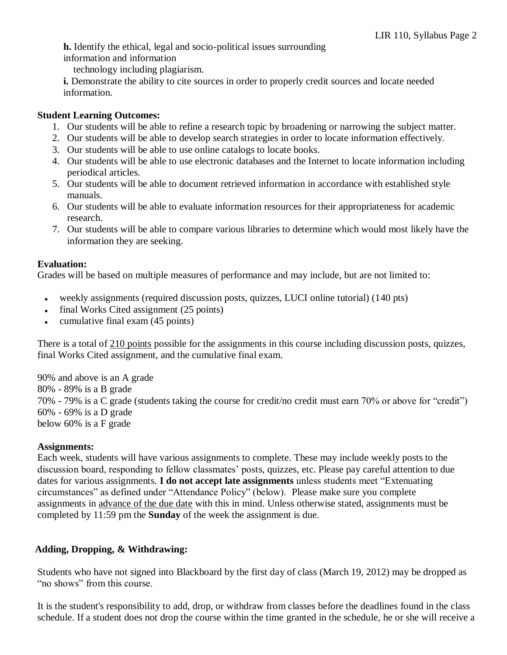**h.** Identify the ethical, legal and socio-political issues surrounding information and information

technology including plagiarism.

**i.** Demonstrate the ability to cite sources in order to properly credit sources and locate needed information.

# **Student Learning Outcomes:**

- 1. Our students will be able to refine a research topic by broadening or narrowing the subject matter.
- 2. Our students will be able to develop search strategies in order to locate information effectively.
- 3. Our students will be able to use online catalogs to locate books.
- 4. Our students will be able to use electronic databases and the Internet to locate information including periodical articles.
- 5. Our students will be able to document retrieved information in accordance with established style manuals.
- 6. Our students will be able to evaluate information resources for their appropriateness for academic research.
- 7. Our students will be able to compare various libraries to determine which would most likely have the information they are seeking.

# **Evaluation:**

Grades will be based on multiple measures of performance and may include, but are not limited to:

- weekly assignments (required discussion posts, quizzes, LUCI online tutorial) (140 pts)
- final Works Cited assignment (25 points)
- cumulative final exam (45 points)

There is a total of 210 points possible for the assignments in this course including discussion posts, quizzes, final Works Cited assignment, and the cumulative final exam.

90% and above is an A grade 80% - 89% is a B grade 70% - 79% is a C grade (students taking the course for credit/no credit must earn 70% or above for "credit") 60% - 69% is a D grade below 60% is a F grade

# **Assignments:**

Each week, students will have various assignments to complete. These may include weekly posts to the discussion board, responding to fellow classmates' posts, quizzes, etc. Please pay careful attention to due dates for various assignments. **I do not accept late assignments** unless students meet "Extenuating circumstances" as defined under "Attendance Policy" (below). Please make sure you complete assignments in advance of the due date with this in mind. Unless otherwise stated, assignments must be completed by 11:59 pm the **Sunday** of the week the assignment is due.

# **Adding, Dropping, & Withdrawing:**

Students who have not signed into Blackboard by the first day of class (March 19, 2012) may be dropped as "no shows" from this course.

It is the student's responsibility to add, drop, or withdraw from classes before the deadlines found in the class schedule. If a student does not drop the course within the time granted in the schedule, he or she will receive a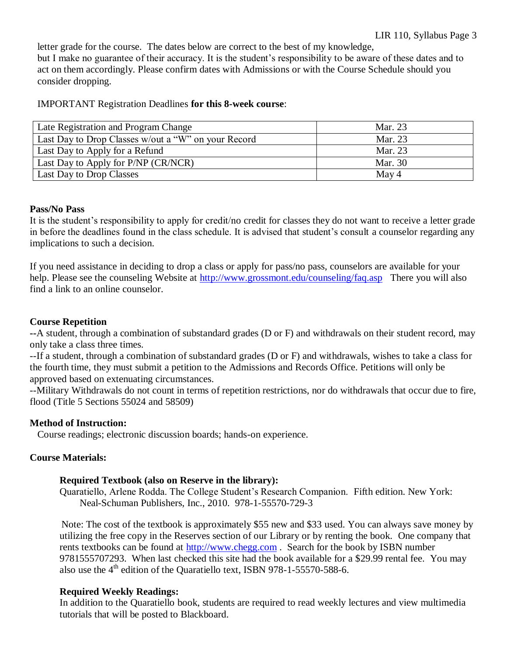letter grade for the course. The dates below are correct to the best of my knowledge, but I make no guarantee of their accuracy. It is the student's responsibility to be aware of these dates and to act on them accordingly. Please confirm dates with Admissions or with the Course Schedule should you consider dropping.

#### IMPORTANT Registration Deadlines **for this 8-week course**:

| Late Registration and Program Change                | Mar. 23 |
|-----------------------------------------------------|---------|
| Last Day to Drop Classes w/out a "W" on your Record | Mar. 23 |
| Last Day to Apply for a Refund                      | Mar. 23 |
| Last Day to Apply for P/NP (CR/NCR)                 | Mar. 30 |
| Last Day to Drop Classes                            | May 4   |

# **Pass/No Pass**

It is the student's responsibility to apply for credit/no credit for classes they do not want to receive a letter grade in before the deadlines found in the class schedule. It is advised that student's consult a counselor regarding any implications to such a decision.

If you need assistance in deciding to drop a class or apply for pass/no pass, counselors are available for your help. Please see the counseling Website at <http://www.grossmont.edu/counseling/faq.asp>There you will also find a link to an online counselor.

# **Course Repetition**

**--**A student, through a combination of substandard grades (D or F) and withdrawals on their student record, may only take a class three times.

--If a student, through a combination of substandard grades (D or F) and withdrawals, wishes to take a class for the fourth time, they must submit a petition to the Admissions and Records Office. Petitions will only be approved based on extenuating circumstances.

--Military Withdrawals do not count in terms of repetition restrictions, nor do withdrawals that occur due to fire, flood (Title 5 Sections 55024 and 58509)

#### **Method of Instruction:**

Course readings; electronic discussion boards; hands-on experience.

# **Course Materials:**

#### **Required Textbook (also on Reserve in the library):**

Quaratiello, Arlene Rodda. The College Student's Research Companion. Fifth edition. New York: Neal-Schuman Publishers, Inc., 2010. 978-1-55570-729-3

Note: The cost of the textbook is approximately \$55 new and \$33 used. You can always save money by utilizing the free copy in the Reserves section of our Library or by renting the book. One company that rents textbooks can be found at [http://www.chegg.com](http://www.chegg.com/) . Search for the book by ISBN number 9781555707293. When last checked this site had the book available for a \$29.99 rental fee. You may also use the  $4<sup>th</sup>$  edition of the Quaratiello text, ISBN 978-1-55570-588-6.

# **Required Weekly Readings:**

In addition to the Quaratiello book, students are required to read weekly lectures and view multimedia tutorials that will be posted to Blackboard.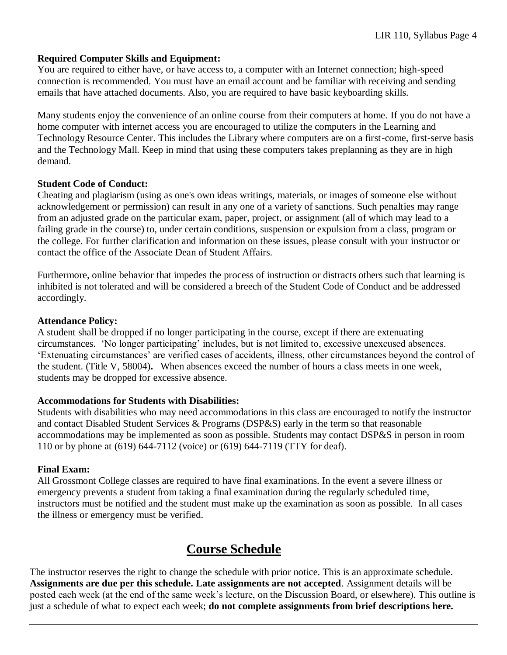# **Required Computer Skills and Equipment:**

You are required to either have, or have access to, a computer with an Internet connection; high-speed connection is recommended. You must have an email account and be familiar with receiving and sending emails that have attached documents. Also, you are required to have basic keyboarding skills.

Many students enjoy the convenience of an online course from their computers at home. If you do not have a home computer with internet access you are encouraged to utilize the computers in the Learning and Technology Resource Center. This includes the Library where computers are on a first-come, first-serve basis and the Technology Mall. Keep in mind that using these computers takes preplanning as they are in high demand.

# **Student Code of Conduct:**

Cheating and plagiarism (using as one's own ideas writings, materials, or images of someone else without acknowledgement or permission) can result in any one of a variety of sanctions. Such penalties may range from an adjusted grade on the particular exam, paper, project, or assignment (all of which may lead to a failing grade in the course) to, under certain conditions, suspension or expulsion from a class, program or the college. For further clarification and information on these issues, please consult with your instructor or contact the office of the Associate Dean of Student Affairs.

Furthermore, online behavior that impedes the process of instruction or distracts others such that learning is inhibited is not tolerated and will be considered a breech of the Student Code of Conduct and be addressed accordingly.

# **Attendance Policy:**

A student shall be dropped if no longer participating in the course, except if there are extenuating circumstances. 'No longer participating' includes, but is not limited to, excessive unexcused absences. 'Extenuating circumstances' are verified cases of accidents, illness, other circumstances beyond the control of the student. (Title V, 58004)**.** When absences exceed the number of hours a class meets in one week, students may be dropped for excessive absence.

# **Accommodations for Students with Disabilities:**

Students with disabilities who may need accommodations in this class are encouraged to notify the instructor and contact Disabled Student Services & Programs (DSP&S) early in the term so that reasonable accommodations may be implemented as soon as possible. Students may contact DSP&S in person in room 110 or by phone at (619) 644-7112 (voice) or (619) 644-7119 (TTY for deaf).

# **Final Exam:**

All Grossmont College classes are required to have final examinations. In the event a severe illness or emergency prevents a student from taking a final examination during the regularly scheduled time, instructors must be notified and the student must make up the examination as soon as possible. In all cases the illness or emergency must be verified.

# **Course Schedule**

The instructor reserves the right to change the schedule with prior notice. This is an approximate schedule. **Assignments are due per this schedule. Late assignments are not accepted**. Assignment details will be posted each week (at the end of the same week's lecture, on the Discussion Board, or elsewhere). This outline is just a schedule of what to expect each week; **do not complete assignments from brief descriptions here.**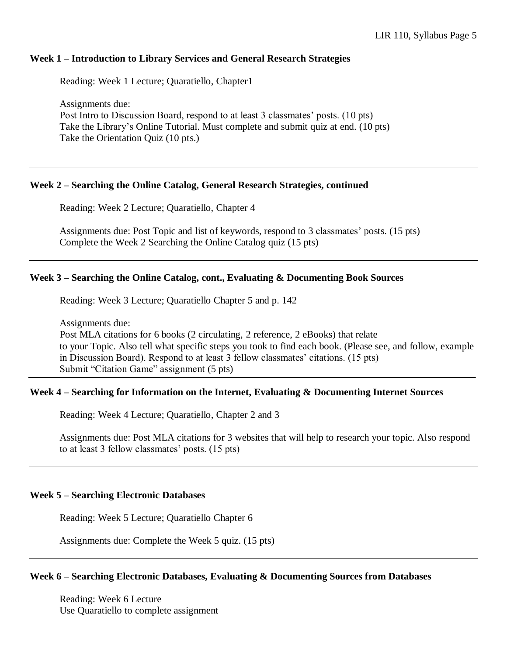# **Week 1 – Introduction to Library Services and General Research Strategies**

Reading: Week 1 Lecture; Quaratiello, Chapter1

Assignments due: Post Intro to Discussion Board, respond to at least 3 classmates' posts. (10 pts) Take the Library's Online Tutorial. Must complete and submit quiz at end. (10 pts) Take the Orientation Quiz (10 pts.)

# **Week 2 – Searching the Online Catalog, General Research Strategies, continued**

Reading: Week 2 Lecture; Quaratiello, Chapter 4

Assignments due: Post Topic and list of keywords, respond to 3 classmates' posts. (15 pts) Complete the Week 2 Searching the Online Catalog quiz (15 pts)

#### **Week 3 – Searching the Online Catalog, cont., Evaluating & Documenting Book Sources**

Reading: Week 3 Lecture; Quaratiello Chapter 5 and p. 142

Assignments due:

 Post MLA citations for 6 books (2 circulating, 2 reference, 2 eBooks) that relate to your Topic. Also tell what specific steps you took to find each book. (Please see, and follow, example in Discussion Board). Respond to at least 3 fellow classmates' citations. (15 pts) Submit "Citation Game" assignment (5 pts)

# **Week 4 – Searching for Information on the Internet, Evaluating & Documenting Internet Sources**

Reading: Week 4 Lecture; Quaratiello, Chapter 2 and 3

Assignments due: Post MLA citations for 3 websites that will help to research your topic. Also respond to at least 3 fellow classmates' posts. (15 pts)

#### **Week 5 – Searching Electronic Databases**

Reading: Week 5 Lecture; Quaratiello Chapter 6

Assignments due: Complete the Week 5 quiz. (15 pts)

#### **Week 6 – Searching Electronic Databases, Evaluating & Documenting Sources from Databases**

Reading: Week 6 Lecture Use Quaratiello to complete assignment